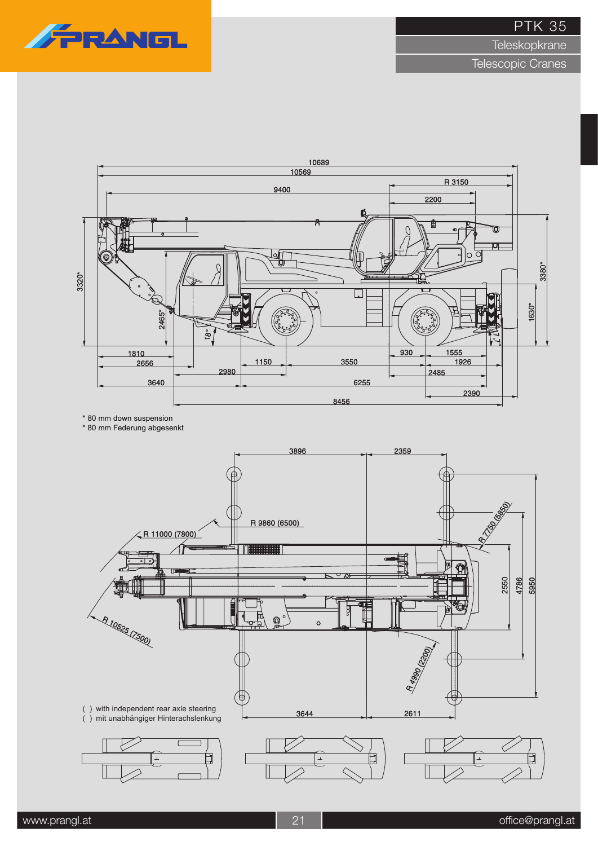

**Teleskopkrane** 



<sup>\* 80</sup> mm down suspension

<sup>\* 80</sup> mm Federung abgesenkt

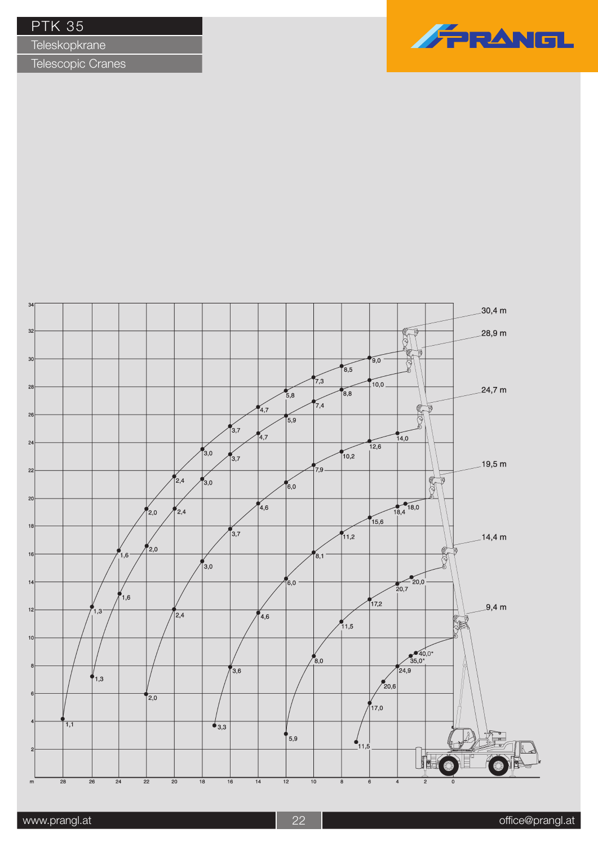**Teleskopkrane** 



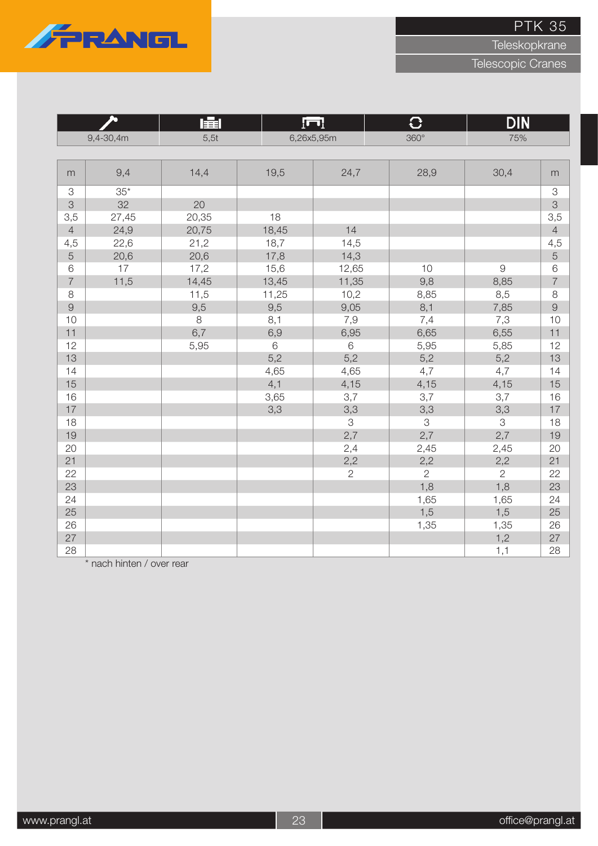

**Teleskopkrane** 

Telescopic Cranes

|                           |           | 肁<br>$\overline{\Gamma}$ |       |                | $\overline{C}$ | <b>DIN</b>     |                           |
|---------------------------|-----------|--------------------------|-------|----------------|----------------|----------------|---------------------------|
|                           | 9,4-30,4m | 5,5t                     |       | 6,26x5,95m     | $360^\circ$    | 75%            |                           |
|                           |           |                          |       |                |                |                |                           |
| m                         | 9,4       | 14,4                     | 19,5  | 24,7           | 28,9           | 30,4           | m                         |
| $\ensuremath{\mathsf{3}}$ | $35*$     |                          |       |                |                |                | $\ensuremath{\mathsf{3}}$ |
| 3                         | 32        | 20                       |       |                |                |                | 3                         |
| 3,5                       | 27,45     | 20,35                    | 18    |                |                |                | 3,5                       |
| $\overline{4}$            | 24,9      | 20,75                    | 18,45 | 14             |                |                | $\overline{4}$            |
| 4,5                       | 22,6      | 21,2                     | 18,7  | 14,5           |                |                | 4,5                       |
| $\overline{5}$            | 20,6      | 20,6                     | 17,8  | 14,3           |                |                | $\overline{5}$            |
| $\,$ 6 $\,$               | 17        | 17,2                     | 15,6  | 12,65          | 10             | $\Theta$       | $\,6$                     |
| $\overline{7}$            | 11,5      | 14,45                    | 13,45 | 11,35          | 9,8            | 8,85           | $\overline{7}$            |
| $\,8\,$                   |           | 11,5                     | 11,25 | 10,2           | 8,85           | 8,5            | $\,8\,$                   |
| $\Theta$                  |           | 9,5                      | 9,5   | 9,05           | 8,1            | 7,85           | $\overline{9}$            |
| 10                        |           | 8                        | 8,1   | 7,9            | 7,4            | 7,3            | 10                        |
| 11                        |           | 6,7                      | 6,9   | 6,95           | 6,65           | 6,55           | 11                        |
| 12                        |           | 5,95                     | $6\,$ | 6              | 5,95           | 5,85           | 12                        |
| 13                        |           |                          | 5,2   | 5,2            | 5,2            | 5,2            | 13                        |
| 14                        |           |                          | 4,65  | 4,65           | 4,7            | 4,7            | 14                        |
| 15                        |           |                          | 4,1   | 4,15           | 4,15           | 4,15           | 15                        |
| 16                        |           |                          | 3,65  | 3,7            | 3,7            | 3,7            | 16                        |
| 17                        |           |                          | 3,3   | 3,3            | 3,3            | 3,3            | 17                        |
| 18                        |           |                          |       | 3              | 3              | $\mathcal S$   | 18                        |
| 19                        |           |                          |       | 2,7            | 2,7            | 2,7            | 19                        |
| 20                        |           |                          |       | 2,4            | 2,45           | 2,45           | 20                        |
| 21                        |           |                          |       | 2,2            | 2,2            | 2,2            | 21                        |
| 22                        |           |                          |       | $\overline{2}$ | 2              | $\overline{2}$ | 22                        |
| 23                        |           |                          |       |                | 1,8            | 1,8            | 23                        |
| 24                        |           |                          |       |                | 1,65           | 1,65           | 24                        |
| 25                        |           |                          |       |                | 1,5            | 1,5            | 25                        |
| 26                        |           |                          |       |                | 1,35           | 1,35           | 26                        |
| 27                        |           |                          |       |                |                | 1,2            | 27                        |
| 28                        |           |                          |       |                |                | 1,1            | 28                        |

\* nach hinten / over rear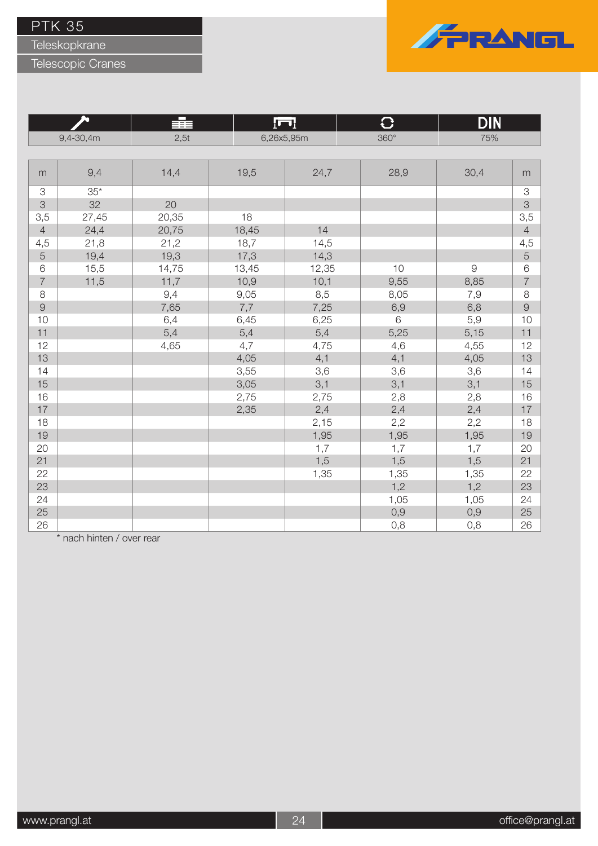Teleskopkrane

Telescopic Cranes



|                |           | 言言    |       | ĮП         | G           | DIN            |                |
|----------------|-----------|-------|-------|------------|-------------|----------------|----------------|
|                | 9,4-30,4m | 2,5t  |       | 6,26x5,95m | $360^\circ$ | 75%            |                |
|                |           |       |       |            |             |                |                |
| m              | 9,4       | 14,4  | 19,5  | 24,7       | 28,9        | 30,4           | m              |
| 3              | $35*$     |       |       |            |             |                | 3              |
| 3              | 32        | 20    |       |            |             |                | 3              |
| 3,5            | 27,45     | 20,35 | 18    |            |             |                | 3,5            |
| $\overline{4}$ | 24,4      | 20,75 | 18,45 | 14         |             |                | $\overline{4}$ |
| 4,5            | 21,8      | 21,2  | 18,7  | 14,5       |             |                | 4,5            |
| 5              | 19,4      | 19,3  | 17,3  | 14,3       |             |                | 5              |
| 6              | 15,5      | 14,75 | 13,45 | 12,35      | 10          | $\overline{9}$ | $\,$ $\,$ $\,$ |
| $\overline{7}$ | 11,5      | 11,7  | 10,9  | 10,1       | 9,55        | 8,85           | $\overline{7}$ |
| 8              |           | 9,4   | 9,05  | 8,5        | 8,05        | 7,9            | $\,8\,$        |
| $\Theta$       |           | 7,65  | 7,7   | 7,25       | 6,9         | 6,8            | $\overline{9}$ |
| 10             |           | 6,4   | 6,45  | 6,25       | 6           | 5,9            | 10             |
| 11             |           | 5,4   | 5,4   | 5,4        | 5,25        | 5,15           | 11             |
| 12             |           | 4,65  | 4,7   | 4,75       | 4,6         | 4,55           | 12             |
| 13             |           |       | 4,05  | 4,1        | 4,1         | 4,05           | 13             |
| 14             |           |       | 3,55  | 3,6        | 3,6         | 3,6            | 14             |
| 15             |           |       | 3,05  | 3,1        | 3,1         | 3,1            | 15             |
| 16             |           |       | 2,75  | 2,75       | 2,8         | 2,8            | 16             |
| 17             |           |       | 2,35  | 2,4        | 2,4         | 2,4            | 17             |
| 18             |           |       |       | 2,15       | 2,2         | 2,2            | 18             |
| 19             |           |       |       | 1,95       | 1,95        | 1,95           | 19             |
| 20             |           |       |       | 1,7        | 1,7         | 1,7            | 20             |
| 21             |           |       |       | 1,5        | 1,5         | 1,5            | 21             |
| 22             |           |       |       | 1,35       | 1,35        | 1,35           | 22             |
| 23             |           |       |       |            | 1,2         | 1,2            | 23             |
| 24             |           |       |       |            | 1,05        | 1,05           | 24             |
| 25             |           |       |       |            | 0,9         | 0,9            | 25             |
| 26             |           |       |       |            | 0,8         | 0,8            | 26             |

\* nach hinten / over rear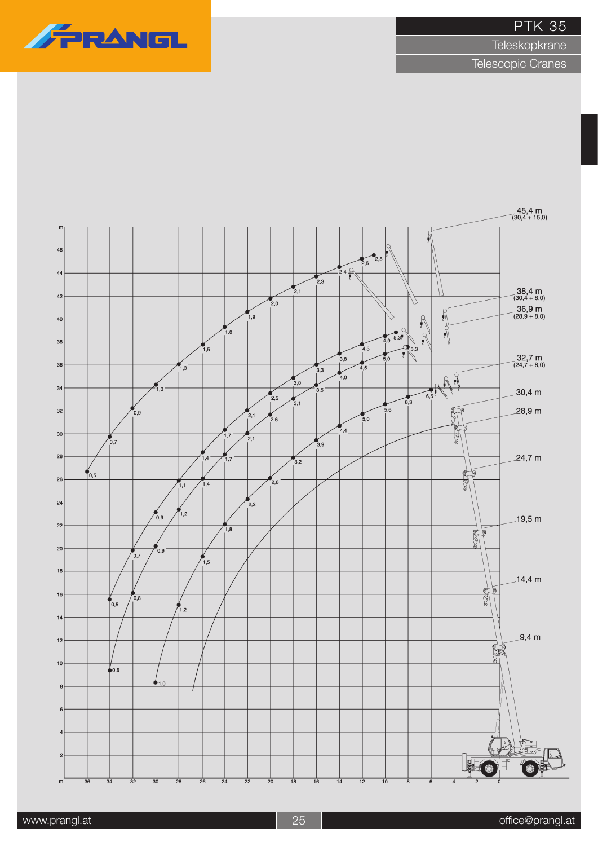**Teleskopkrane** 



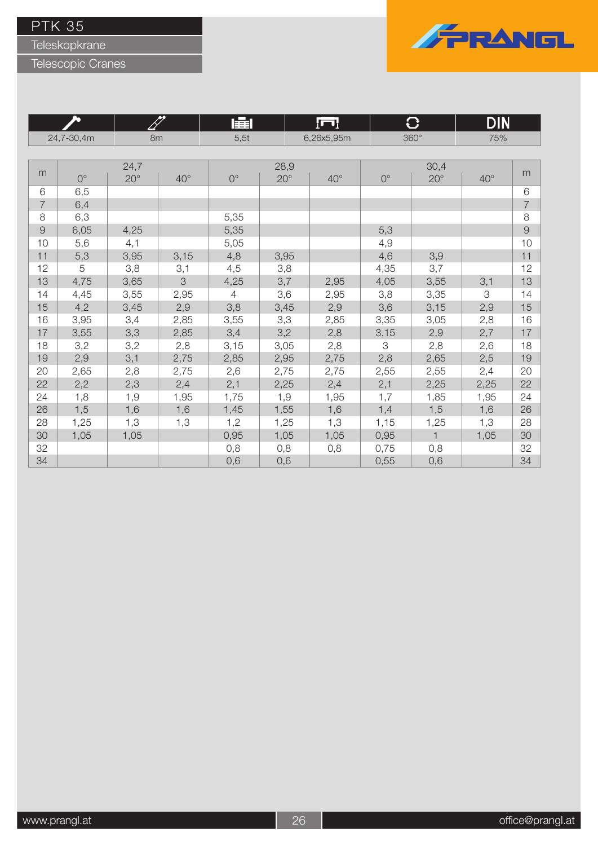Teleskopkrane

Telescopic Cranes



**Program** 

|                |             |              |               | 圉              |              | !⊓l        |             | ₩            | DIN          |                |
|----------------|-------------|--------------|---------------|----------------|--------------|------------|-------------|--------------|--------------|----------------|
| 24,7-30,4m     |             | 8m           |               | 5,5t           |              | 6,26x5,95m |             | $360^\circ$  | 75%          |                |
|                |             |              |               |                |              |            |             |              |              |                |
|                |             | 24,7         |               |                | 28,9         |            | 30,4        |              |              |                |
| m              | $0^{\circ}$ | $20^{\circ}$ | $40^\circ$    | $0^{\circ}$    | $20^{\circ}$ | $40^\circ$ | $0^{\circ}$ | $20^{\circ}$ | $40^{\circ}$ | m              |
| 6              | 6,5         |              |               |                |              |            |             |              |              | 6              |
| $\overline{7}$ | 6,4         |              |               |                |              |            |             |              |              | $\overline{7}$ |
| 8              | 6,3         |              |               | 5,35           |              |            |             |              |              | 8              |
| $\Theta$       | 6,05        | 4,25         |               | 5,35           |              |            | 5,3         |              |              | $\Theta$       |
| 10             | 5,6         | 4,1          |               | 5,05           |              |            | 4,9         |              |              | 10             |
| 11             | 5,3         | 3,95         | 3,15          | 4,8            | 3,95         |            | 4,6         | 3,9          |              | 11             |
| 12             | 5           | 3,8          | 3,1           | 4,5            | 3,8          |            | 4,35        | 3,7          |              | 12             |
| 13             | 4,75        | 3,65         | $\mathcal{S}$ | 4,25           | 3,7          | 2,95       | 4,05        | 3,55         | 3,1          | 13             |
| 14             | 4,45        | 3,55         | 2,95          | $\overline{4}$ | 3,6          | 2,95       | 3,8         | 3,35         | 3            | 14             |
| 15             | 4,2         | 3,45         | 2,9           | 3,8            | 3,45         | 2,9        | 3,6         | 3,15         | 2,9          | 15             |
| 16             | 3,95        | 3,4          | 2,85          | 3,55           | 3,3          | 2,85       | 3,35        | 3,05         | 2,8          | 16             |
| 17             | 3,55        | 3,3          | 2,85          | 3,4            | 3,2          | 2,8        | 3,15        | 2,9          | 2,7          | 17             |
| 18             | 3,2         | 3,2          | 2,8           | 3,15           | 3,05         | 2,8        | 3           | 2,8          | 2,6          | 18             |
| 19             | 2,9         | 3,1          | 2,75          | 2,85           | 2,95         | 2,75       | 2,8         | 2,65         | 2,5          | 19             |
| 20             | 2,65        | 2,8          | 2,75          | 2,6            | 2,75         | 2,75       | 2,55        | 2,55         | 2,4          | 20             |
| 22             | 2,2         | 2,3          | 2,4           | 2,1            | 2,25         | 2,4        | 2,1         | 2,25         | 2,25         | 22             |
| 24             | 1,8         | 1,9          | 1,95          | 1,75           | 1,9          | 1,95       | 1,7         | 1,85         | 1,95         | 24             |
| 26             | 1,5         | 1,6          | 1,6           | 1,45           | 1,55         | 1,6        | 1,4         | 1,5          | 1,6          | 26             |
| 28             | 1,25        | 1,3          | 1,3           | 1,2            | 1,25         | 1,3        | 1,15        | 1,25         | 1,3          | 28             |
| 30             | 1,05        | 1,05         |               | 0,95           | 1,05         | 1,05       | 0,95        | $\mathbf{1}$ | 1,05         | 30             |
| 32             |             |              |               | 0,8            | 0,8          | 0,8        | 0,75        | 0,8          |              | 32             |
| 34             |             |              |               | 0,6            | 0,6          |            | 0,55        | 0,6          |              | 34             |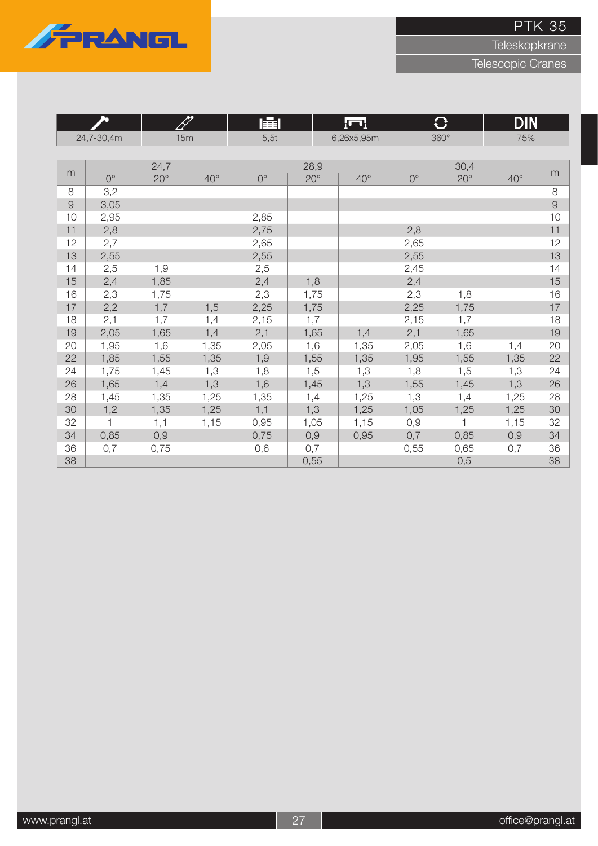

Teleskopkrane

|            | b            |              | T            | l主l         |              | ſш           |             | $\bf C$      | <b>DIN</b>   |          |
|------------|--------------|--------------|--------------|-------------|--------------|--------------|-------------|--------------|--------------|----------|
| 24,7-30,4m |              | 15m          |              | 5,5t        |              | 6,26x5,95m   |             | $360^\circ$  | 75%          |          |
|            |              |              |              |             |              |              |             |              |              |          |
|            |              | 24,7         |              |             | 28,9         |              |             | 30,4         |              |          |
| m          | $0^{\circ}$  | $20^{\circ}$ | $40^{\circ}$ | $0^{\circ}$ | $20^{\circ}$ | $40^{\circ}$ | $0^{\circ}$ | $20^{\circ}$ | $40^{\circ}$ | m        |
| 8          | 3,2          |              |              |             |              |              |             |              |              | $\,8\,$  |
| $\Theta$   | 3,05         |              |              |             |              |              |             |              |              | $\Theta$ |
| 10         | 2,95         |              |              | 2,85        |              |              |             |              |              | 10       |
| 11         | 2,8          |              |              | 2,75        |              |              | 2,8         |              |              | 11       |
| 12         | 2,7          |              |              | 2,65        |              |              | 2,65        |              |              | 12       |
| 13         | 2,55         |              |              | 2,55        |              |              | 2,55        |              |              | 13       |
| 14         | 2,5          | 1,9          |              | 2,5         |              |              | 2,45        |              |              | 14       |
| 15         | 2,4          | 1,85         |              | 2,4         | 1,8          |              | 2,4         |              |              | 15       |
| 16         | 2,3          | 1,75         |              | 2,3         | 1,75         |              | 2,3         | 1,8          |              | 16       |
| 17         | 2,2          | 1,7          | 1,5          | 2,25        | 1,75         |              | 2,25        | 1,75         |              | 17       |
| 18         | 2,1          | 1,7          | 1,4          | 2,15        | 1,7          |              | 2,15        | 1,7          |              | 18       |
| 19         | 2,05         | 1,65         | 1,4          | 2,1         | 1,65         | 1,4          | 2,1         | 1,65         |              | 19       |
| 20         | 1,95         | 1,6          | 1,35         | 2,05        | 1,6          | 1,35         | 2,05        | 1,6          | 1,4          | 20       |
| 22         | 1,85         | 1,55         | 1,35         | 1,9         | 1,55         | 1,35         | 1,95        | 1,55         | 1,35         | 22       |
| 24         | 1,75         | 1,45         | 1,3          | 1,8         | 1,5          | 1,3          | 1,8         | 1,5          | 1,3          | 24       |
| 26         | 1,65         | 1,4          | 1,3          | 1,6         | 1,45         | 1,3          | 1,55        | 1,45         | 1,3          | 26       |
| 28         | 1,45         | 1,35         | 1,25         | 1,35        | 1,4          | 1,25         | 1,3         | 1,4          | 1,25         | 28       |
| 30         | 1,2          | 1,35         | 1,25         | 1,1         | 1,3          | 1,25         | 1,05        | 1,25         | 1,25         | 30       |
| 32         | $\mathbf{1}$ | 1,1          | 1,15         | 0,95        | 1,05         | 1,15         | 0,9         | $\mathbf{1}$ | 1,15         | 32       |
| 34         | 0,85         | 0,9          |              | 0,75        | 0,9          | 0,95         | 0,7         | 0,85         | 0,9          | 34       |
| 36         | 0,7          | 0,75         |              | 0,6         | 0,7          |              | 0,55        | 0,65         | 0,7          | 36       |
| 38         |              |              |              |             | 0,55         |              |             | 0,5          |              | 38       |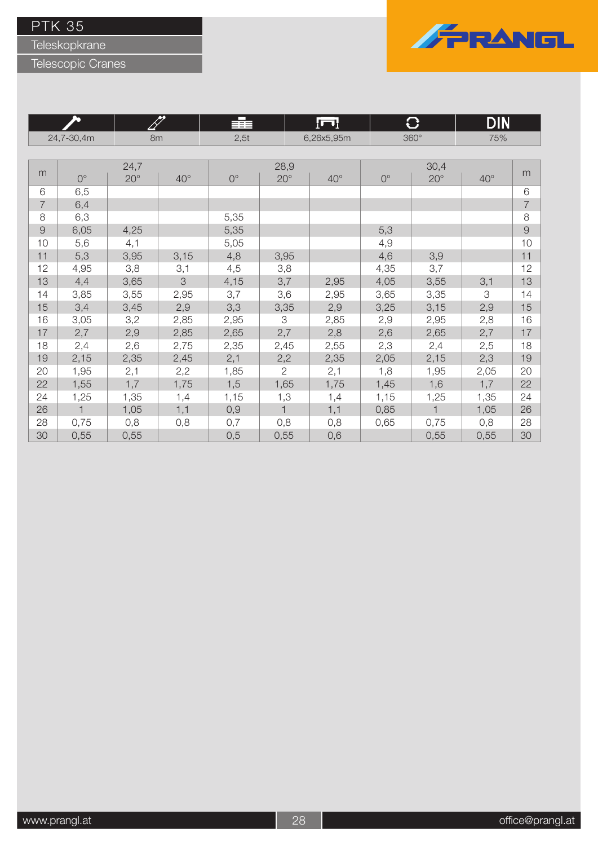Teleskopkrane



|                |              | BT           |                            | ⋿⋾≡         |                | ſП           |             | O            | DIN          |                |
|----------------|--------------|--------------|----------------------------|-------------|----------------|--------------|-------------|--------------|--------------|----------------|
|                | 24,7-30,4m   |              | 8m                         | 2,5t        |                | 6,26x5,95m   |             | $360^\circ$  | 75%          |                |
|                |              |              |                            |             |                |              |             |              |              |                |
|                |              | 24,7         |                            |             | 28,9           |              |             | 30,4         |              |                |
| m              | $0^{\circ}$  | $20^{\circ}$ | $40^{\circ}$               | $0^{\circ}$ | $20^{\circ}$   | $40^{\circ}$ | $0^{\circ}$ | $20^\circ$   | $40^{\circ}$ | m              |
| 6              | 6,5          |              |                            |             |                |              |             |              |              | 6              |
| $\overline{7}$ | 6,4          |              |                            |             |                |              |             |              |              | $\overline{7}$ |
| 8              | 6,3          |              |                            | 5,35        |                |              |             |              |              | 8              |
| $\Theta$       | 6,05         | 4,25         |                            | 5,35        |                |              | 5,3         |              |              | $\Theta$       |
| 10             | 5,6          | 4,1          |                            | 5,05        |                |              | 4,9         |              |              | 10             |
| 11             | 5,3          | 3,95         | 3,15                       | 4,8         | 3,95           |              | 4,6         | 3,9          |              | 11             |
| 12             | 4,95         | 3,8          | 3,1                        | 4,5         | 3,8            |              | 4,35        | 3,7          |              | 12             |
| 13             | 4,4          | 3,65         | $\ensuremath{\mathcal{S}}$ | 4,15        | 3,7            | 2,95         | 4,05        | 3,55         | 3,1          | 13             |
| 14             | 3,85         | 3,55         | 2,95                       | 3,7         | 3,6            | 2,95         | 3,65        | 3,35         | 3            | 14             |
| 15             | 3,4          | 3,45         | 2,9                        | 3,3         | 3,35           | 2,9          | 3,25        | 3,15         | 2,9          | 15             |
| 16             | 3,05         | 3,2          | 2,85                       | 2,95        | 3              | 2,85         | 2,9         | 2,95         | 2,8          | 16             |
| 17             | 2,7          | 2,9          | 2,85                       | 2,65        | 2,7            | 2,8          | 2,6         | 2,65         | 2,7          | 17             |
| 18             | 2,4          | 2,6          | 2,75                       | 2,35        | 2,45           | 2,55         | 2,3         | 2,4          | 2,5          | 18             |
| 19             | 2,15         | 2,35         | 2,45                       | 2,1         | 2,2            | 2,35         | 2,05        | 2,15         | 2,3          | 19             |
| 20             | 1,95         | 2,1          | 2,2                        | 1,85        | $\overline{2}$ | 2,1          | 1,8         | 1,95         | 2,05         | 20             |
| 22             | 1,55         | 1,7          | 1,75                       | 1,5         | 1,65           | 1,75         | 1,45        | 1,6          | 1,7          | 22             |
| 24             | 1,25         | 1,35         | 1,4                        | 1,15        | 1,3            | 1,4          | 1,15        | 1,25         | 1,35         | 24             |
| 26             | $\mathbf{1}$ | 1,05         | 1,1                        | 0,9         | 1              | 1,1          | 0,85        | $\mathbf{1}$ | 1,05         | 26             |
| 28             | 0,75         | 0,8          | 0,8                        | 0,7         | 0,8            | 0,8          | 0,65        | 0,75         | 0,8          | 28             |
| 30             | 0,55         | 0,55         |                            | 0,5         | 0,55           | 0,6          |             | 0,55         | 0,55         | 30             |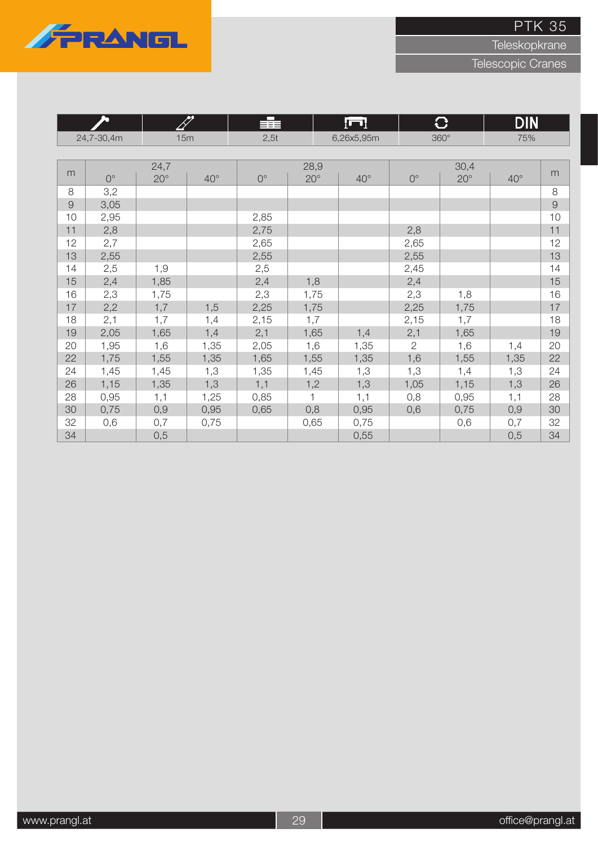

Teleskopkrane

| h                 |             |              | FT           | 辈           |              | lul          |              | $\mathbf C$  | <b>DIN</b>   |    |  |
|-------------------|-------------|--------------|--------------|-------------|--------------|--------------|--------------|--------------|--------------|----|--|
| 15m<br>24,7-30,4m |             |              | 2,5t         |             | 6,26x5,95m   |              | $360^\circ$  | 75%          |              |    |  |
|                   |             |              |              |             |              |              |              |              |              |    |  |
|                   |             | 24,7         |              |             | 28,9         |              |              | 30,4         |              |    |  |
| m                 | $0^{\circ}$ | $20^{\circ}$ | $40^{\circ}$ | $0^{\circ}$ | $20^{\circ}$ | $40^{\circ}$ | $0^{\circ}$  | $20^{\circ}$ | $40^{\circ}$ | m  |  |
| 8                 | 3,2         |              |              |             |              |              |              |              |              | 8  |  |
| $\Theta$          | 3,05        |              |              |             |              |              |              |              |              | 9  |  |
| 10                | 2,95        |              |              | 2,85        |              |              |              |              |              | 10 |  |
| 11                | 2,8         |              |              | 2,75        |              |              | 2,8          |              |              | 11 |  |
| 12                | 2,7         |              |              | 2,65        |              |              | 2,65         |              |              | 12 |  |
| 13                | 2,55        |              |              | 2,55        |              |              | 2,55         |              |              | 13 |  |
| 14                | 2,5         | 1,9          |              | 2,5         |              |              | 2,45         |              |              | 14 |  |
| 15                | 2,4         | 1,85         |              | 2,4         | 1,8          |              | 2,4          |              |              | 15 |  |
| 16                | 2,3         | 1,75         |              | 2,3         | 1,75         |              | 2,3          | 1,8          |              | 16 |  |
| 17                | 2,2         | 1,7          | 1,5          | 2,25        | 1,75         |              | 2,25         | 1,75         |              | 17 |  |
| 18                | 2,1         | 1,7          | 1,4          | 2,15        | 1,7          |              | 2,15         | 1,7          |              | 18 |  |
| 19                | 2,05        | 1,65         | 1,4          | 2,1         | 1,65         | 1,4          | 2,1          | 1,65         |              | 19 |  |
| 20                | 1,95        | 1,6          | 1,35         | 2,05        | 1,6          | 1,35         | $\mathbf{2}$ | 1,6          | 1,4          | 20 |  |
| 22                | 1,75        | 1,55         | 1,35         | 1,65        | 1,55         | 1,35         | 1,6          | 1,55         | 1,35         | 22 |  |
| 24                | 1,45        | 1,45         | 1,3          | 1,35        | 1,45         | 1,3          | 1,3          | 1,4          | 1,3          | 24 |  |
| 26                | 1,15        | 1,35         | 1,3          | 1,1         | 1,2          | 1,3          | 1,05         | 1,15         | 1,3          | 26 |  |
| 28                | 0,95        | 1,1          | 1,25         | 0,85        | 1            | 1,1          | 0,8          | 0,95         | 1,1          | 28 |  |
| 30                | 0,75        | 0,9          | 0,95         | 0,65        | 0,8          | 0,95         | 0,6          | 0,75         | 0,9          | 30 |  |
| 32                | 0,6         | 0,7          | 0,75         |             | 0,65         | 0,75         |              | 0,6          | 0,7          | 32 |  |
| 34                |             | 0,5          |              |             |              | 0,55         |              |              | 0,5          | 34 |  |